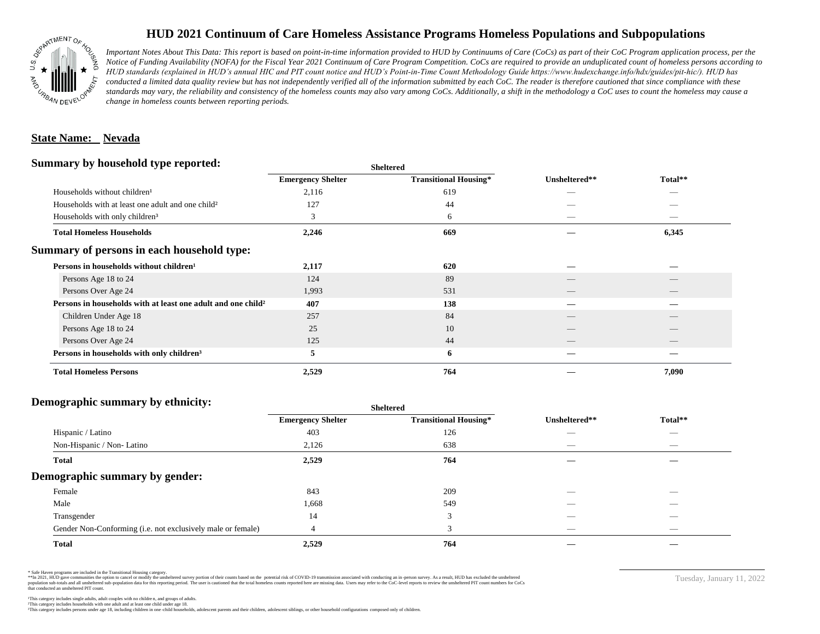

## **HUD 2021 Continuum of Care Homeless Assistance Programs Homeless Populations and Subpopulations**

*Important Notes About This Data: This report is based on point-in-time information provided to HUD by Continuums of Care (CoCs) as part of their CoC Program application process, per the Notice of Funding Availability (NOFA) for the Fiscal Year 2021 Continuum of Care Program Competition. CoCs are required to provide an unduplicated count of homeless persons according to HUD standards (explained in HUD's annual HIC and PIT count notice and HUD's Point-in-Time Count Methodology Guide https://www.hudexchange.info/hdx/guides/pit-hic/). HUD has*  conducted a limited data quality review but has not independently verified all of the information submitted by each CoC. The reader is therefore cautioned that since compliance with these standards may vary, the reliability and consistency of the homeless counts may also vary among CoCs. Additionally, a shift in the methodology a CoC uses to count the homeless may cause a *change in homeless counts between reporting periods.*

#### **State Name: Nevada**

#### **Summary by household type reported:**

|                          |                              | Unsheltered**            |                 |
|--------------------------|------------------------------|--------------------------|-----------------|
| <b>Emergency Shelter</b> | <b>Transitional Housing*</b> |                          | Total**         |
| 2,116                    | 619                          |                          |                 |
| 127                      | 44                           |                          |                 |
| 3                        | 6                            | $\hspace{0.05cm}$        |                 |
| 2,246                    | 669                          |                          | 6,345           |
|                          |                              |                          |                 |
| 2,117                    | 620                          |                          |                 |
| 124                      | 89                           |                          |                 |
| 1,993                    | 531                          | $\overline{\phantom{a}}$ | $\qquad \qquad$ |
| 407                      | 138                          |                          |                 |
| 257                      | 84                           |                          |                 |
| 25                       | 10                           |                          |                 |
| 125                      | 44                           | __                       |                 |
| 5                        | 6                            |                          |                 |
| 2,529                    | 764                          |                          | 7,090           |
|                          |                              | <b>Sheltered</b>         |                 |

### **Demographic summary by ethnicity:**

|                                                             | <b>Sheltered</b>         |                              |                          |                          |  |
|-------------------------------------------------------------|--------------------------|------------------------------|--------------------------|--------------------------|--|
|                                                             | <b>Emergency Shelter</b> | <b>Transitional Housing*</b> | Unsheltered**            | Total**                  |  |
| Hispanic / Latino                                           | 403                      | 126                          |                          | $\overline{\phantom{a}}$ |  |
| Non-Hispanic / Non-Latino                                   | 2,126                    | 638                          | _                        |                          |  |
| <b>Total</b>                                                | 2,529                    | 764                          |                          |                          |  |
| Demographic summary by gender:                              |                          |                              |                          |                          |  |
| Female                                                      | 843                      | 209                          | _                        | _                        |  |
| Male                                                        | 1,668                    | 549                          |                          |                          |  |
| Transgender                                                 | 14                       | 3                            |                          |                          |  |
| Gender Non-Conforming (i.e. not exclusively male or female) |                          | 3                            | $\overline{\phantom{a}}$ | $\overline{\phantom{a}}$ |  |
| <b>Total</b>                                                | 2,529                    | 764                          |                          |                          |  |

\* Safe Haven programs are included in the Transitional Housing category.

\*\*In 2021, HUD gave communities the option to cancel or modify the unsheltered survey portion of their counts based on the potential risk of COVID-19 transmission associated with conducting an in-person survey. As a result n political and distribution of the resort in the constant of the experimental and the constant of the constant of the constant of the constant of the constant of the constant of the constant of the constant of the constan that conducted an unsheltered PIT count.

Tuesday, January 11, 2022